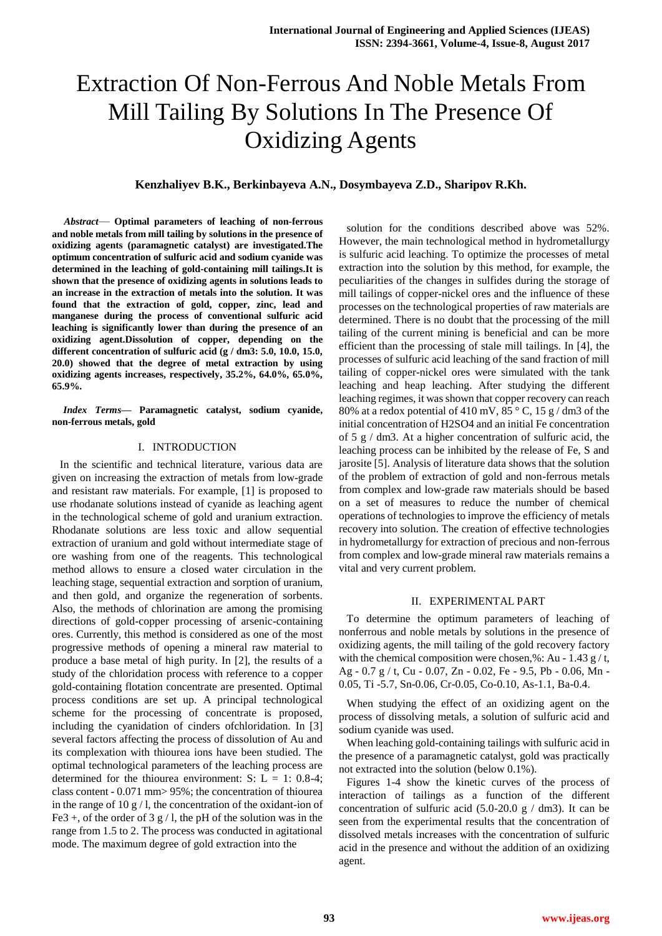# Extraction Of Non-Ferrous And Noble Metals From Mill Tailing By Solutions In The Presence Of Oxidizing Agents

## **Kenzhaliyev B.K., Berkinbayeva A.N., Dosymbayeva Z.D., Sharipov R.Kh.**

*Abstract*— **Optimal parameters of leaching of non-ferrous and noble metals from mill tailing by solutions in the presence of oxidizing agents (paramagnetic catalyst) are investigated.The optimum concentration of sulfuric acid and sodium cyanide was determined in the leaching of gold-containing mill tailings.It is shown that the presence of oxidizing agents in solutions leads to an increase in the extraction of metals into the solution. It was found that the extraction of gold, copper, zinc, lead and manganese during the process of conventional sulfuric acid leaching is significantly lower than during the presence of an oxidizing agent.Dissolution of copper, depending on the different concentration of sulfuric acid (g / dm3: 5.0, 10.0, 15.0, 20.0) showed that the degree of metal extraction by using oxidizing agents increases, respectively, 35.2%, 64.0%, 65.0%, 65.9%.**

*Index Terms***— Paramagnetic catalyst, sodium cyanide, non-ferrous metals, gold**

## I. INTRODUCTION

In the scientific and technical literature, various data are given on increasing the extraction of metals from low-grade and resistant raw materials. For example, [1] is proposed to use rhodanate solutions instead of cyanide as leaching agent in the technological scheme of gold and uranium extraction. Rhodanate solutions are less toxic and allow sequential extraction of uranium and gold without intermediate stage of ore washing from one of the reagents. This technological method allows to ensure a closed water circulation in the leaching stage, sequential extraction and sorption of uranium, and then gold, and organize the regeneration of sorbents. Also, the methods of chlorination are among the promising directions of gold-copper processing of arsenic-containing ores. Currently, this method is considered as one of the most progressive methods of opening a mineral raw material to produce a base metal of high purity. In [2], the results of a study of the chloridation process with reference to a copper gold-containing flotation concentrate are presented. Optimal process conditions are set up. A principal technological scheme for the processing of concentrate is proposed, including the cyanidation of cinders ofchloridation. In [3] several factors affecting the process of dissolution of Au and its complexation with thiourea ions have been studied. The optimal technological parameters of the leaching process are determined for the thiourea environment: S:  $L = 1: 0.8-4$ ; class content - 0.071 mm> 95%; the concentration of thiourea in the range of 10 g  $/$  l, the concentration of the oxidant-ion of Fe3 +, of the order of 3 g  $/$  l, the pH of the solution was in the range from 1.5 to 2. The process was conducted in agitational mode. The maximum degree of gold extraction into the

solution for the conditions described above was 52%. However, the main technological method in hydrometallurgy is sulfuric acid leaching. To optimize the processes of metal extraction into the solution by this method, for example, the peculiarities of the changes in sulfides during the storage of mill tailings of copper-nickel ores and the influence of these processes on the technological properties of raw materials are determined. There is no doubt that the processing of the mill tailing of the current mining is beneficial and can be more efficient than the processing of stale mill tailings. In [4], the processes of sulfuric acid leaching of the sand fraction of mill tailing of copper-nickel ores were simulated with the tank leaching and heap leaching. After studying the different leaching regimes, it was shown that copper recovery can reach 80% at a redox potential of 410 mV,  $85\degree$  C, 15 g / dm3 of the initial concentration of H2SO4 and an initial Fe concentration of 5 g / dm3. At a higher concentration of sulfuric acid, the leaching process can be inhibited by the release of Fe, S and jarosite [5]. Analysis of literature data shows that the solution of the problem of extraction of gold and non-ferrous metals from complex and low-grade raw materials should be based on a set of measures to reduce the number of chemical operations of technologies to improve the efficiency of metals recovery into solution. The creation of effective technologies in hydrometallurgy for extraction of precious and non-ferrous from complex and low-grade mineral raw materials remains a vital and very current problem.

### II. EXPERIMENTAL PART

To determine the optimum parameters of leaching of nonferrous and noble metals by solutions in the presence of oxidizing agents, the mill tailing of the gold recovery factory with the chemical composition were chosen, %: Au - 1.43  $g/t$ , Ag - 0.7 g / t, Cu - 0.07, Zn - 0.02, Fe - 9.5, Pb - 0.06, Mn - 0.05, Ti -5.7, Sn-0.06, Cr-0.05, Co-0.10, As-1.1, Ba-0.4.

When studying the effect of an oxidizing agent on the process of dissolving metals, a solution of sulfuric acid and sodium cyanide was used.

When leaching gold-containing tailings with sulfuric acid in the presence of a paramagnetic catalyst, gold was practically not extracted into the solution (below 0.1%).

Figures 1-4 show the kinetic curves of the process of interaction of tailings as a function of the different concentration of sulfuric acid (5.0-20.0 g  $/$  dm3). It can be seen from the experimental results that the concentration of dissolved metals increases with the concentration of sulfuric acid in the presence and without the addition of an oxidizing agent.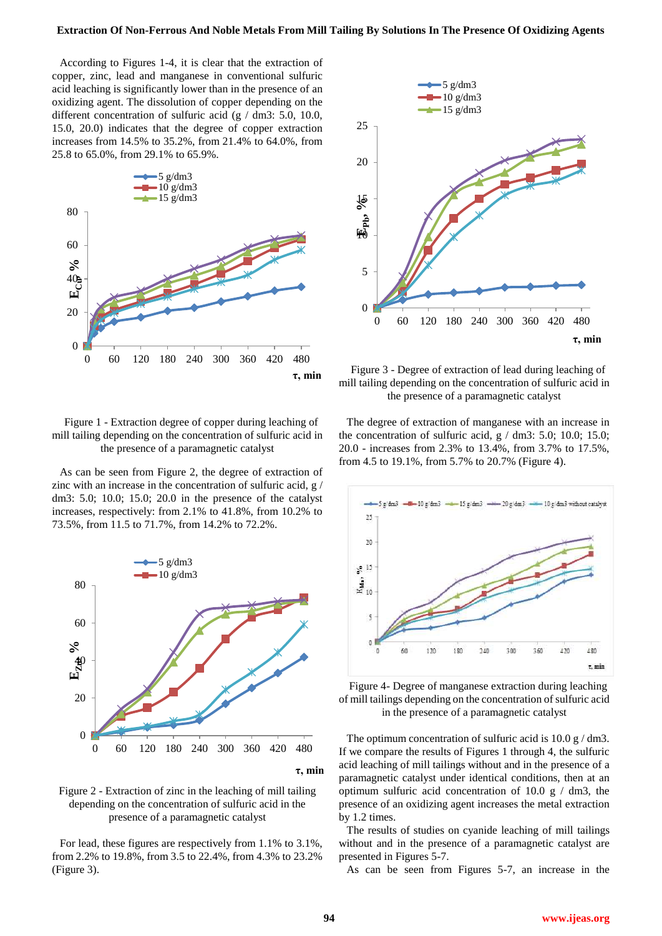According to Figures 1-4, it is clear that the extraction of copper, zinc, lead and manganese in conventional sulfuric acid leaching is significantly lower than in the presence of an oxidizing agent. The dissolution of copper depending on the different concentration of sulfuric acid (g / dm3: 5.0, 10.0, 15.0, 20.0) indicates that the degree of copper extraction increases from 14.5% to 35.2%, from 21.4% to 64.0%, from 25.8 to 65.0%, from 29.1% to 65.9%.



Figure 1 - Extraction degree of copper during leaching of mill tailing depending on the concentration of sulfuric acid in the presence of a paramagnetic catalyst

As can be seen from Figure 2, the degree of extraction of zinc with an increase in the concentration of sulfuric acid, g / dm3: 5.0; 10.0; 15.0; 20.0 in the presence of the catalyst increases, respectively: from 2.1% to 41.8%, from 10.2% to 73.5%, from 11.5 to 71.7%, from 14.2% to 72.2%.



Figure 2 - Extraction of zinc in the leaching of mill tailing depending on the concentration of sulfuric acid in the presence of a paramagnetic catalyst

For lead, these figures are respectively from 1.1% to 3.1%, from 2.2% to 19.8%, from 3.5 to 22.4%, from 4.3% to 23.2% (Figure 3).



Figure 3 - Degree of extraction of lead during leaching of mill tailing depending on the concentration of sulfuric acid in the presence of a paramagnetic catalyst

The degree of extraction of manganese with an increase in the concentration of sulfuric acid,  $g / dm3$ : 5.0; 10.0; 15.0; 20.0 - increases from 2.3% to 13.4%, from 3.7% to 17.5%, from 4.5 to 19.1%, from 5.7% to 20.7% (Figure 4).



Figure 4- Degree of manganese extraction during leaching of mill tailings depending on the concentration of sulfuric acid in the presence of a paramagnetic catalyst

The optimum concentration of sulfuric acid is  $10.0 \text{ g}$  / dm3. If we compare the results of Figures 1 through 4, the sulfuric acid leaching of mill tailings without and in the presence of a paramagnetic catalyst under identical conditions, then at an optimum sulfuric acid concentration of 10.0 g  $/$  dm3, the presence of an oxidizing agent increases the metal extraction by 1.2 times.

The results of studies on cyanide leaching of mill tailings without and in the presence of a paramagnetic catalyst are presented in Figures 5-7.

As can be seen from Figures 5-7, an increase in the